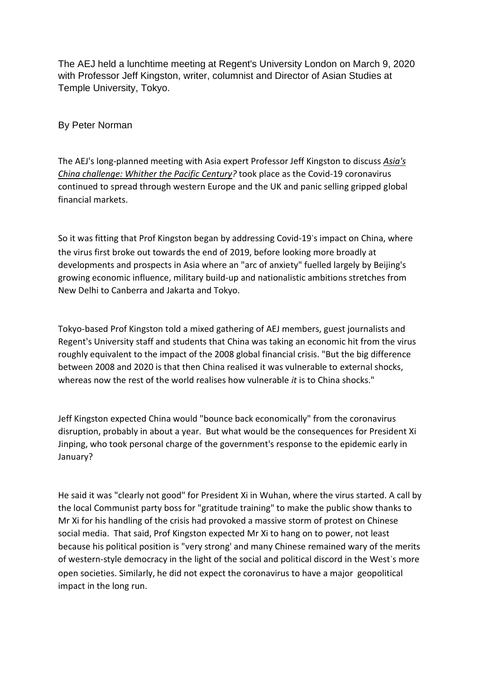The AEJ held a lunchtime meeting at Regent's University London on March 9, 2020 with Professor Jeff Kingston, writer, columnist and Director of Asian Studies at Temple University, Tokyo.

By Peter Norman

The AEJ's long-planned meeting with Asia expert Professor Jeff Kingston to discuss *Asia's China challenge: Whither the Pacific Century?* took place as the Covid-19 coronavirus continued to spread through western Europe and the UK and panic selling gripped global financial markets.

So it was fitting that Prof Kingston began by addressing Covid-19's impact on China, where the virus first broke out towards the end of 2019, before looking more broadly at developments and prospects in Asia where an "arc of anxiety" fuelled largely by Beijing's growing economic influence, military build-up and nationalistic ambitions stretches from New Delhi to Canberra and Jakarta and Tokyo.

Tokyo-based Prof Kingston told a mixed gathering of AEJ members, guest journalists and Regent's University staff and students that China was taking an economic hit from the virus roughly equivalent to the impact of the 2008 global financial crisis. "But the big difference between 2008 and 2020 is that then China realised it was vulnerable to external shocks, whereas now the rest of the world realises how vulnerable *it* is to China shocks."

Jeff Kingston expected China would "bounce back economically" from the coronavirus disruption, probably in about a year. But what would be the consequences for President Xi Jinping, who took personal charge of the government's response to the epidemic early in January?

He said it was "clearly not good" for President Xi in Wuhan, where the virus started. A call by the local Communist party boss for "gratitude training" to make the public show thanks to Mr Xi for his handling of the crisis had provoked a massive storm of protest on Chinese social media. That said, Prof Kingston expected Mr Xi to hang on to power, not least because his political position is "very strong' and many Chinese remained wary of the merits of western-style democracy in the light of the social and political discord in the West's more open societies. Similarly, he did not expect the coronavirus to have a major geopolitical impact in the long run.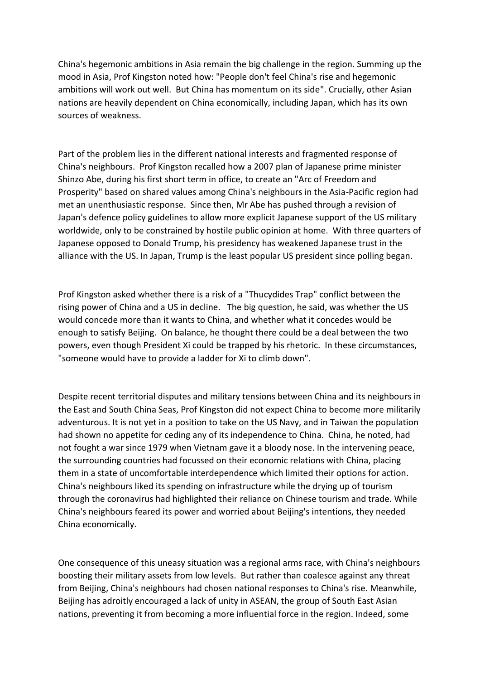China's hegemonic ambitions in Asia remain the big challenge in the region. Summing up the mood in Asia, Prof Kingston noted how: "People don't feel China's rise and hegemonic ambitions will work out well. But China has momentum on its side". Crucially, other Asian nations are heavily dependent on China economically, including Japan, which has its own sources of weakness.

Part of the problem lies in the different national interests and fragmented response of China's neighbours. Prof Kingston recalled how a 2007 plan of Japanese prime minister Shinzo Abe, during his first short term in office, to create an "Arc of Freedom and Prosperity" based on shared values among China's neighbours in the Asia-Pacific region had met an unenthusiastic response. Since then, Mr Abe has pushed through a revision of Japan's defence policy guidelines to allow more explicit Japanese support of the US military worldwide, only to be constrained by hostile public opinion at home. With three quarters of Japanese opposed to Donald Trump, his presidency has weakened Japanese trust in the alliance with the US. In Japan, Trump is the least popular US president since polling began.

Prof Kingston asked whether there is a risk of a "Thucydides Trap" conflict between the rising power of China and a US in decline. The big question, he said, was whether the US would concede more than it wants to China, and whether what it concedes would be enough to satisfy Beijing. On balance, he thought there could be a deal between the two powers, even though President Xi could be trapped by his rhetoric. In these circumstances, "someone would have to provide a ladder for Xi to climb down".

Despite recent territorial disputes and military tensions between China and its neighbours in the East and South China Seas, Prof Kingston did not expect China to become more militarily adventurous. It is not yet in a position to take on the US Navy, and in Taiwan the population had shown no appetite for ceding any of its independence to China. China, he noted, had not fought a war since 1979 when Vietnam gave it a bloody nose. In the intervening peace, the surrounding countries had focussed on their economic relations with China, placing them in a state of uncomfortable interdependence which limited their options for action. China's neighbours liked its spending on infrastructure while the drying up of tourism through the coronavirus had highlighted their reliance on Chinese tourism and trade. While China's neighbours feared its power and worried about Beijing's intentions, they needed China economically.

One consequence of this uneasy situation was a regional arms race, with China's neighbours boosting their military assets from low levels. But rather than coalesce against any threat from Beijing, China's neighbours had chosen national responses to China's rise. Meanwhile, Beijing has adroitly encouraged a lack of unity in ASEAN, the group of South East Asian nations, preventing it from becoming a more influential force in the region. Indeed, some